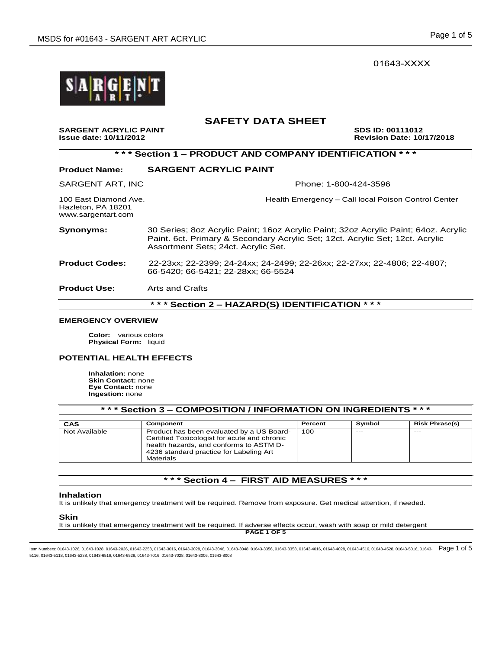01643-XXXX



# **SAFETY DATA SHEET**

SARGENT ACRYLIC PAINT<br>
Issue date: 10/11/2012<br> **SDS ID: 00111012**<br>
Revision Date: 10 **Issue date: 10/11/2012 Revision Date: 10/17/2018** 

| *** Section 1 - PRODUCT AND COMPANY IDENTIFICATION<br>* * *       |                                                                                                                                                                                                             |  |  |  |  |
|-------------------------------------------------------------------|-------------------------------------------------------------------------------------------------------------------------------------------------------------------------------------------------------------|--|--|--|--|
| <b>Product Name:</b>                                              | <b>SARGENT ACRYLIC PAINT</b>                                                                                                                                                                                |  |  |  |  |
| SARGENT ART, INC                                                  | Phone: 1-800-424-3596                                                                                                                                                                                       |  |  |  |  |
| 100 East Diamond Ave.<br>Hazleton, PA 18201<br>www.sargentart.com | Health Emergency - Call local Poison Control Center                                                                                                                                                         |  |  |  |  |
| Synonyms:                                                         | 30 Series; 8oz Acrylic Paint; 16oz Acrylic Paint; 32oz Acrylic Paint; 64oz. Acrylic<br>Paint. 6ct. Primary & Secondary Acrylic Set; 12ct. Acrylic Set; 12ct. Acrylic<br>Assortment Sets; 24ct. Acrylic Set. |  |  |  |  |
| <b>Product Codes:</b>                                             | 22-23xx; 22-2399; 24-24xx; 24-2499; 22-26xx; 22-27xx; 22-4806; 22-4807;<br>66-5420: 66-5421: 22-28xx: 66-5524                                                                                               |  |  |  |  |
| <b>Product Use:</b>                                               | Arts and Crafts                                                                                                                                                                                             |  |  |  |  |
| *** Section 2 - HAZARD(S) IDENTIFICATION                          |                                                                                                                                                                                                             |  |  |  |  |

# **EMERGENCY OVERVIEW**

**Color:** various colors **Physical Form:** liquid

#### **POTENTIAL HEALTH EFFECTS**

**Inhalation:** none **Skin Contact:** none **Eye Contact:** none **Ingestion:** none

| *** Section 3 – COMPOSITION / INFORMATION ON INGREDIENTS *** |                                                                                                                                                                                              |         |        |                       |  |
|--------------------------------------------------------------|----------------------------------------------------------------------------------------------------------------------------------------------------------------------------------------------|---------|--------|-----------------------|--|
| CAS                                                          | Component                                                                                                                                                                                    | Percent | Symbol | <b>Risk Phrase(s)</b> |  |
| Not Available                                                | Product has been evaluated by a US Board-<br>Certified Toxicologist for acute and chronic<br>health hazards, and conforms to ASTM D-<br>4236 standard practice for Labeling Art<br>Materials | 100     | $---$  | $- - -$               |  |

# **\* \* \* Section 4 – FIRST AID MEASURES \* \* \***

#### **Inhalation**

It is unlikely that emergency treatment will be required. Remove from exposure. Get medical attention, if needed.

#### **Skin**

It is unlikely that emergency treatment will be required. If adverse effects occur, wash with soap or mild detergent

**PAGE 1 OF 5**

ltem Numbers: 01643-1026, 01643-1028, 01643-2026, 01643-2258, 01643-3016, 01643-3028, 01643-3046, 01643-3358, 01643-4016, 01643-4016, 01643-4028, 01643-4516, 01643-4518, 01643-4528, 01643-6516, 01643-6516, 01643-67516, 016 5116, 01643-5118, 01643-5238, 01643-6516, 01643-6528, 01643-7016, 01643-7028, 01643-8006, 01643-8008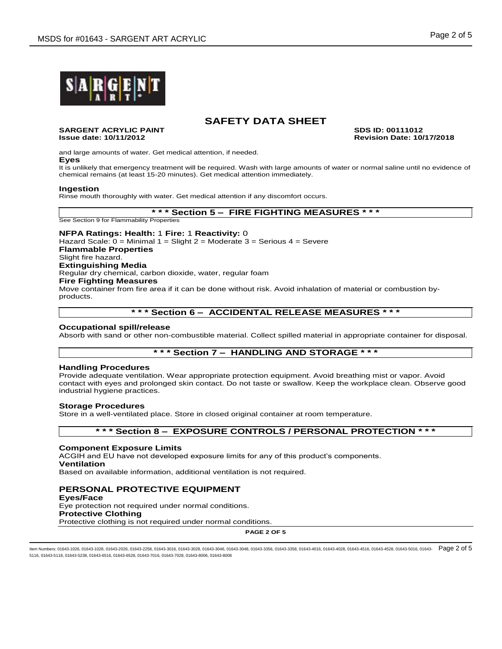

#### **SARGENT ACRYLIC PAINT SDS ID: 00111012 Issue date: 10/11/2012 Revision Date: 10/17/2018**

and large amounts of water. Get medical attention, if needed. **Eyes**

It is unlikely that emergency treatment will be required. Wash with large amounts of water or normal saline until no evidence of chemical remains (at least 15-20 minutes). Get medical attention immediately.

#### **Ingestion**

Rinse mouth thoroughly with water. Get medical attention if any discomfort occurs.

**\* \* \* Section 5 – FIRE FIGHTING MEASURES \* \* \***

See Section 9 for Flammability Properties

#### **NFPA Ratings: Health:** 1 **Fire:** 1 **Reactivity:** 0 Hazard Scale: 0 = Minimal 1 = Slight 2 = Moderate 3 = Serious 4 = Severe **Flammable Properties** Slight fire hazard. **Extinguishing Media** Regular dry chemical, carbon dioxide, water, regular foam **Fire Fighting Measures** Move container from fire area if it can be done without risk. Avoid inhalation of material or combustion byproducts.

## **\* \* \* Section 6 – ACCIDENTAL RELEASE MEASURES \* \* \***

#### **Occupational spill/release**

Absorb with sand or other non-combustible material. Collect spilled material in appropriate container for disposal.

## **\* \* \* Section 7 – HANDLING AND STORAGE \* \* \***

# **Handling Procedures**

Provide adequate ventilation. Wear appropriate protection equipment. Avoid breathing mist or vapor. Avoid contact with eyes and prolonged skin contact. Do not taste or swallow. Keep the workplace clean. Observe good industrial hygiene practices.

#### **Storage Procedures**

Store in a well-ventilated place. Store in closed original container at room temperature.

#### **\* \* \* Section 8 – EXPOSURE CONTROLS / PERSONAL PROTECTION \* \* \***

#### **Component Exposure Limits**

ACGIH and EU have not developed exposure limits for any of this product's components. **Ventilation**

Based on available information, additional ventilation is not required.

# **PERSONAL PROTECTIVE EQUIPMENT**

**Eyes/Face** Eye protection not required under normal conditions. **Protective Clothing** Protective clothing is not required under normal conditions.

**PAGE 2 OF 5**

ltem Numbers: 01643-1026, 01643-1028, 01643-2026, 01643-2258, 01643-3016, 01643-3028, 01643-3046, 01643-3358, 01643-4016, 01643-4016, 01643-4028, 01643-4516, 01643-4518, 01643-4528, 01643-6516, 01643-6516, 01643-676, 01643 5116, 01643-5118, 01643-5238, 01643-6516, 01643-6528, 01643-7016, 01643-7028, 01643-8006, 01643-8008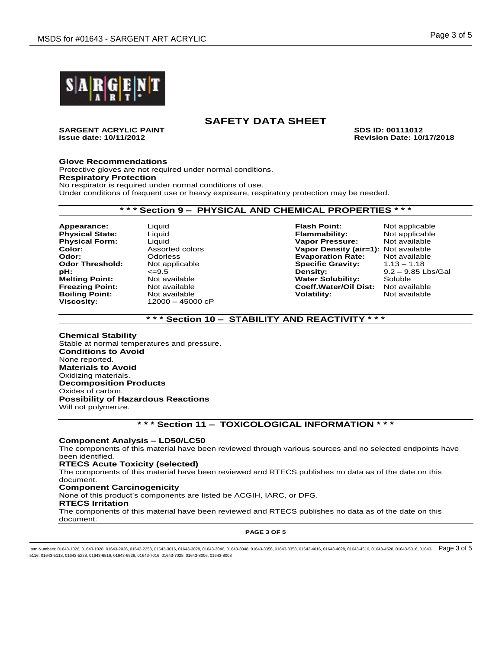

**SARGENT ACRYLIC PAINT SDS ID: 00111012 Issue date: 10/11/2012 Revision Date: 10/17/2018**

#### **Glove Recommendations**

Protective gloves are not required under normal conditions. **Respiratory Protection** No respirator is required under normal conditions of use. Under conditions of frequent use or heavy exposure, respiratory protection may be needed.

# **\* \* \* Section 9 – PHYSICAL AND CHEMICAL PROPERTIES \* \* \***

**Physical State:** 

**Viscosity:** 12000 – 45000 cP

**Appearance:** Liquid **Flash Point:** Not applicable **Physical Form:** Liquid Liquid **Vapor Pressure:** Not available<br> **Color:** Assorted colors **Vapor Density (air=1):** Not available **Vapor Density (air=1):** Not available **Odor:** Odorless **Evaporation Rate:** Not available **Odor Threshold:** Not applicable **Specific Gravity:** 1.13 – 1.18 **pH:**  $\epsilon$ =9.5 <br> **Density:** 9.2 – 9.85 Lbs/Gal<br> **Melting Point:** Not available **Communisty:** Solubility: Soluble **Media Point: Not available and Solubility:** Soluble Soluble Solubility: Soluble Soluble Soluble and Solubility: Not available and Soluble Soluble Soluble Soluble Soluble Soluble Soluble Soluble Soluble Soluble Soluble Sol **Freezing Point:** Not available **Coeff.Water/Oil Dist:** Not available **Boiling Point:** Not available **Volatility:** Not available

# **\* \* \* Section 10 – STABILITY AND REACTIVITY \* \* \***

**Chemical Stability** Stable at normal temperatures and pressure. **Conditions to Avoid** None reported. **Materials to Avoid** Oxidizing materials. **Decomposition Products** Oxides of carbon. **Possibility of Hazardous Reactions** Will not polymerize.

# **\* \* \* Section 11 – TOXICOLOGICAL INFORMATION \* \* \***

#### **Component Analysis – LD50/LC50**

The components of this material have been reviewed through various sources and no selected endpoints have been identified.

#### **RTECS Acute Toxicity (selected)**

The components of this material have been reviewed and RTECS publishes no data as of the date on this document.

# **Component Carcinogenicity**

None of this product's components are listed be ACGIH, IARC, or DFG.

#### **RTECS Irritation**

The components of this material have been reviewed and RTECS publishes no data as of the date on this document.

**PAGE 3 OF 5**

ltem Numbers: 01643-1026, 01643-1028, 01643-2026, 01643-2258, 01643-3016, 01643-3028, 01643-3048, 01643-3358, 01643-4016, 01643-4016, 01643-4028, 01643-4516, 01643-4518, 01643-4528, 01643-6516, 01643-6516, 01643-676, 01643 5116, 01643-5118, 01643-5238, 01643-6516, 01643-6528, 01643-7016, 01643-7028, 01643-8006, 01643-8008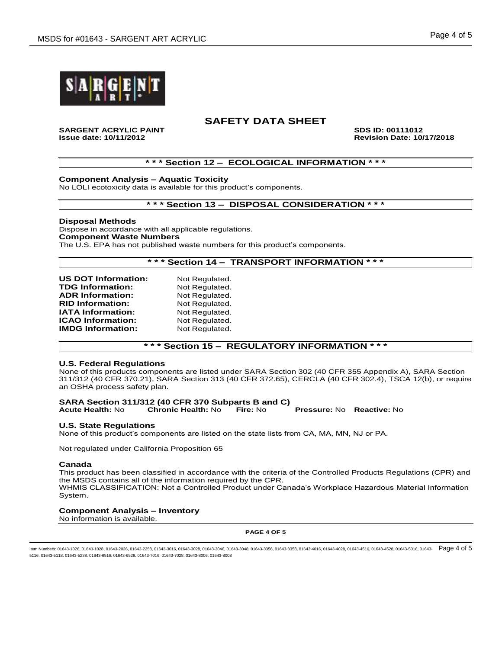

**SARGENT ACRYLIC PAINT SDS ID: 00111012 Issue date: 10/11/2012 Revision Date: 10/17/2018**

## **\* \* \* Section 12 – ECOLOGICAL INFORMATION \* \* \***

**Component Analysis – Aquatic Toxicity**

No LOLI ecotoxicity data is available for this product's components.

## **\* \* \* Section 13 – DISPOSAL CONSIDERATION \* \* \***

**Disposal Methods** Dispose in accordance with all applicable regulations. **Component Waste Numbers** The U.S. EPA has not published waste numbers for this product's components.

## **\* \* \* Section 14 – TRANSPORT INFORMATION \* \* \***

| Not Regulated. |
|----------------|
| Not Regulated. |
| Not Regulated. |
| Not Regulated. |
| Not Regulated. |
| Not Regulated. |
| Not Regulated. |
|                |

## **\* \* \* Section 15 – REGULATORY INFORMATION \* \* \***

#### **U.S. Federal Regulations**

None of this products components are listed under SARA Section 302 (40 CFR 355 Appendix A), SARA Section 311/312 (40 CFR 370.21), SARA Section 313 (40 CFR 372.65), CERCLA (40 CFR 302.4), TSCA 12(b), or require an OSHA process safety plan.

# **SARA Section 311/312 (40 CFR 370 Subparts B and C)**

**Acute Health:** No **Chronic Health:** No **Fire:** No **Pressure:** No **Reactive:** No

#### **U.S. State Regulations**

None of this product's components are listed on the state lists from CA, MA, MN, NJ or PA.

Not regulated under California Proposition 65

#### **Canada**

This product has been classified in accordance with the criteria of the Controlled Products Regulations (CPR) and the MSDS contains all of the information required by the CPR. WHMIS CLASSIFICATION: Not a Controlled Product under Canada's Workplace Hazardous Material Information System.

#### **Component Analysis – Inventory**

No information is available.

**PAGE 4 OF 5**

ltem Numbers: 01643-1026, 01643-1028, 01643-2026, 01643-2258, 01643-3016, 01643-3028, 01643-3046, 01643-3358, 01643-4016, 01643-4016, 01643-4028, 01643-4516, 01643-4518, 01643-4528, 01643-6516, 01643-6516, 01643-6716, 0164 5116, 01643-5118, 01643-5238, 01643-6516, 01643-6528, 01643-7016, 01643-7028, 01643-8006, 01643-8008